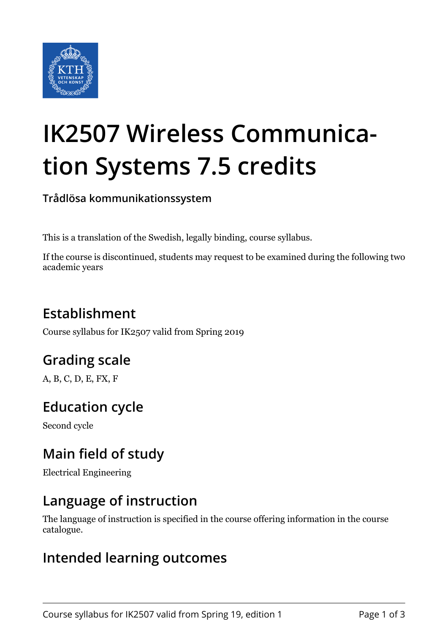

# **IK2507 Wireless Communication Systems 7.5 credits**

**Trådlösa kommunikationssystem**

This is a translation of the Swedish, legally binding, course syllabus.

If the course is discontinued, students may request to be examined during the following two academic years

# **Establishment**

Course syllabus for IK2507 valid from Spring 2019

# **Grading scale**

A, B, C, D, E, FX, F

## **Education cycle**

Second cycle

## **Main field of study**

Electrical Engineering

## **Language of instruction**

The language of instruction is specified in the course offering information in the course catalogue.

#### **Intended learning outcomes**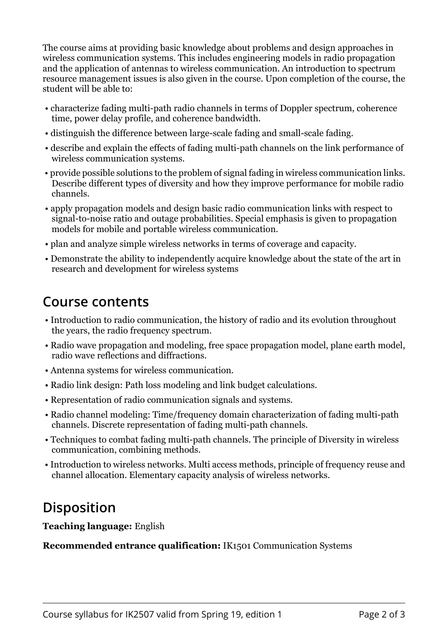The course aims at providing basic knowledge about problems and design approaches in wireless communication systems. This includes engineering models in radio propagation and the application of antennas to wireless communication. An introduction to spectrum resource management issues is also given in the course. Upon completion of the course, the student will be able to:

- characterize fading multi-path radio channels in terms of Doppler spectrum, coherence time, power delay profile, and coherence bandwidth.
- distinguish the difference between large-scale fading and small-scale fading.
- describe and explain the effects of fading multi-path channels on the link performance of wireless communication systems.
- provide possible solutions to the problem of signal fading in wireless communication links. Describe different types of diversity and how they improve performance for mobile radio channels.
- apply propagation models and design basic radio communication links with respect to signal-to-noise ratio and outage probabilities. Special emphasis is given to propagation models for mobile and portable wireless communication.
- plan and analyze simple wireless networks in terms of coverage and capacity.
- Demonstrate the ability to independently acquire knowledge about the state of the art in research and development for wireless systems

#### **Course contents**

- Introduction to radio communication, the history of radio and its evolution throughout the years, the radio frequency spectrum.
- Radio wave propagation and modeling, free space propagation model, plane earth model, radio wave reflections and diffractions.
- Antenna systems for wireless communication.
- Radio link design: Path loss modeling and link budget calculations.
- Representation of radio communication signals and systems.
- Radio channel modeling: Time/frequency domain characterization of fading multi-path channels. Discrete representation of fading multi-path channels.
- Techniques to combat fading multi-path channels. The principle of Diversity in wireless communication, combining methods.
- Introduction to wireless networks. Multi access methods, principle of frequency reuse and channel allocation. Elementary capacity analysis of wireless networks.

## **Disposition**

**Teaching language: English** 

**Recommended entrance qualification:** IK1501 Communication Systems